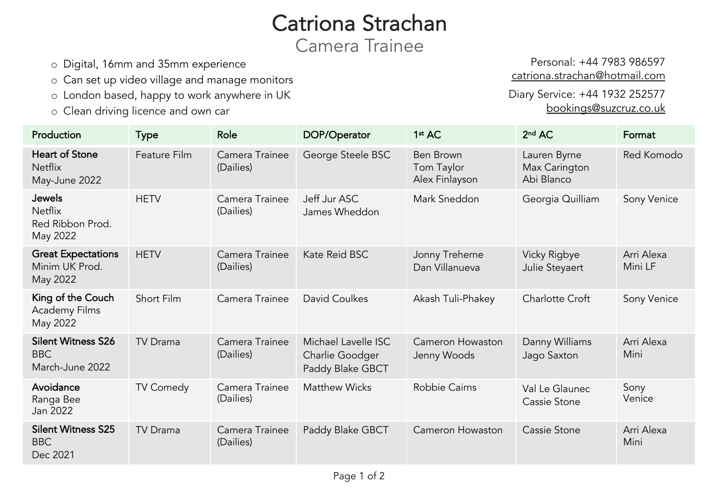# Catriona Strachan

Camera Trainee

- o Digital, 16mm and 35mm experience
- o Can set up video village and manage monitors
- o London based, happy to work anywhere in UK
- o Clean driving licence and own car

Production Type Role DOP/Operator 1st AC 2nd AC Format Heart of Stone **Netflix** May-June 2022 Feature Film Camera Trainee (Dailies) George Steele BSC Ben Brown Tom Taylor Alex Finlayson Lauren B Max Cari Abi Blanco Jewels Netflix Red Ribbon Prod. May 2022 HETV Camera Trainee (Dailies) Jeff Jur ASC James Wheddon Mark Sneddon Georgia Great Expectations Minim UK Prod. May 2022 HETV Camera Trainee (Dailies) Kate Reid BSC Jonny Treherne Dan Villanueva **Vicky Rig** Julie Stey King of the Couch Academy Films May 2022 Short Film Camera Trainee David Coulkes Akash Tuli-Phakey Charlotte Silent Witness S26 BBC March-June 2022 TV Drama Camera Trainee (Dailies) Michael Lavelle ISC Charlie Goodger Paddy Blake GBCT Cameron Howaston Jenny Woods Danny W Jago Sax Avoidance Ranga Bee Jan 2022 TV Comedy Camera Trainee (Dailies) Matthew Wicks Robbie Cairns Val Le Gl Cassie St Silent Witness S25 BBC Dec 2021 TV Drama Camera Trainee (Dailies) Paddy Blake GBCT | Cameron Howaston | Cassie St

Person catriona.st

Diary Servio boc